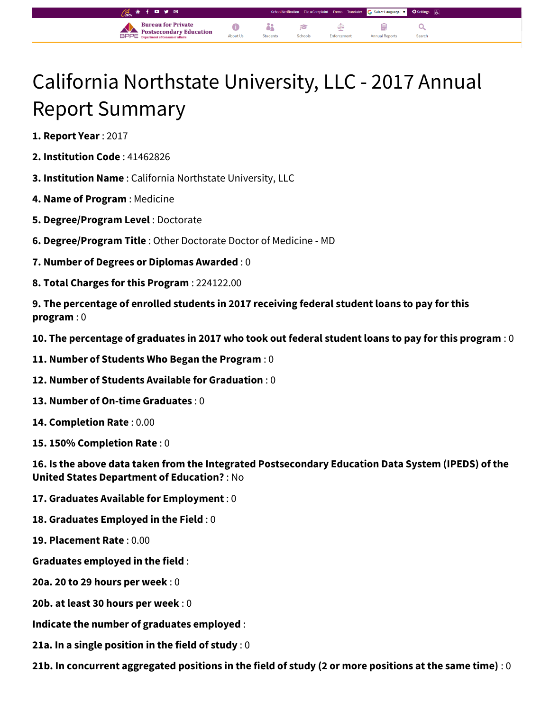## California Northstate University, LLC - 2017 Annual Report Summary

òi

P

 $\bullet$ 

About Us

Select Language |  $\blacktriangledown$ 

Q

自

**Annual Repor** 

⊄

Enforcement

**1. Report Year** : 2017

- **2. Institution Code** : 41462826
- **3. Institution Name** : California Northstate University, LLC

**Bureau for Private** 

**Postsecondary Education** 

- **4. Name of Program** : Medicine
- **5. Degree/Program Level** : Doctorate
- **6. Degree/Program Title** : Other Doctorate Doctor of Medicine MD
- **7. Number of Degrees or Diplomas Awarded** : 0
- **8. Total Charges for this Program** : 224122.00
- **9. The percentage of enrolled students in 2017 receiving federal student loans to pay for this program** : 0
- **10. The percentage of graduates in 2017 who took out federal student loans to pay for this program** : 0
- **11. Number of Students Who Began the Program** : 0
- **12. Number of Students Available for Graduation** : 0
- **13. Number of On-time Graduates** : 0
- **14. Completion Rate** : 0.00
- **15. 150% Completion Rate** : 0

**16. Is the above data taken from the Integrated Postsecondary Education Data System (IPEDS) of the United States Department of Education?** : No

- **17. Graduates Available for Employment** : 0
- **18. Graduates Employed in the Field** : 0
- **19. Placement Rate** : 0.00
- **Graduates employed in the field** :
- **20a. 20 to 29 hours per week** : 0
- **20b. at least 30 hours per week** : 0
- **Indicate the number of graduates employed** :
- **21a. In a single position in the field of study** : 0
- **21b. In concurrent aggregated positions in the field of study (2 or more positions at the same time)** : 0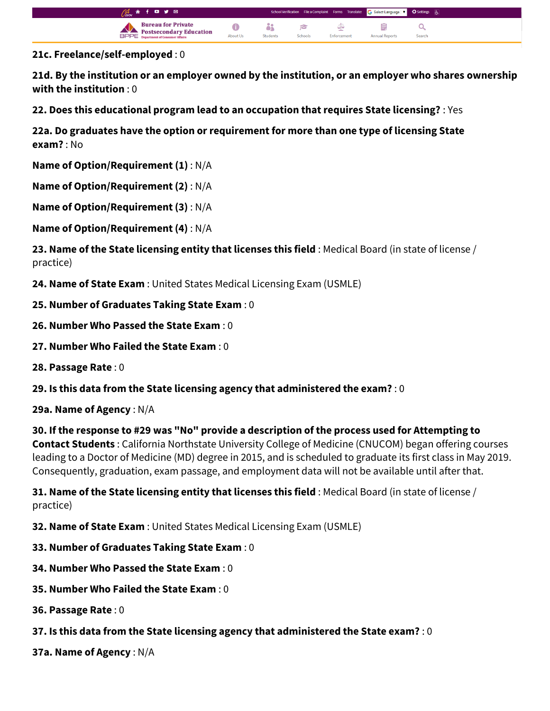

**21c. Freelance/self-employed** : 0

**21d. By the institution or an employer owned by the institution, or an employer who shares ownership with the institution** : 0

**22. Does this educational program lead to an occupation that requires State licensing?** : Yes

**22a. Do graduates have the option or requirement for more than one type of licensing State exam?** : No

**Name of Option/Requirement (1)** : N/A

**Name of Option/Requirement (2)** : N/A

**Name of Option/Requirement (3)** : N/A

**Name of Option/Requirement (4)** : N/A

**23. Name of the State licensing entity that licenses this field** : Medical Board (in state of license / practice)

**24. Name of State Exam** : United States Medical Licensing Exam (USMLE)

- **25. Number of Graduates Taking State Exam** : 0
- **26. Number Who Passed the State Exam** : 0
- **27. Number Who Failed the State Exam** : 0
- **28. Passage Rate** : 0

**29. Is this data from the State licensing agency that administered the exam?** : 0

**29a. Name of Agency** : N/A

**30. If the response to #29 was "No" provide a description of the process used for Attempting to Contact Students** : California Northstate University College of Medicine (CNUCOM) began offering courses leading to a Doctor of Medicine (MD) degree in 2015, and is scheduled to graduate its first class in May 2019. Consequently, graduation, exam passage, and employment data will not be available until after that.

**31. Name of the State licensing entity that licenses this field** : Medical Board (in state of license / practice)

**32. Name of State Exam** : United States Medical Licensing Exam (USMLE)

- **33. Number of Graduates Taking State Exam** : 0
- **34. Number Who Passed the State Exam** : 0
- **35. Number Who Failed the State Exam** : 0
- **36. Passage Rate** : 0
- **37. Is this data from the State licensing agency that administered the State exam?** : 0

**37a. Name of Agency** : N/A